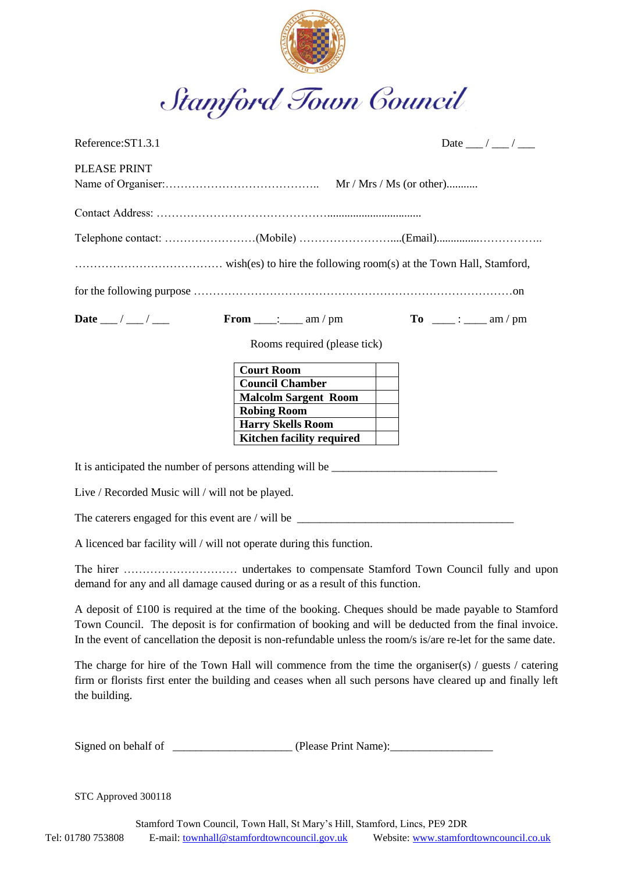

| Reference: ST1.3.1  |                                                       | Date __/ __/ __                                                                               |
|---------------------|-------------------------------------------------------|-----------------------------------------------------------------------------------------------|
| <b>PLEASE PRINT</b> |                                                       |                                                                                               |
|                     |                                                       |                                                                                               |
|                     |                                                       |                                                                                               |
|                     |                                                       |                                                                                               |
|                     |                                                       |                                                                                               |
| Date __/ __/ ___    | From $\frac{1}{\text{max} + \text{max} + \text{min}}$ | $\textbf{To} \quad \underline{\hspace{1cm}} : \underline{\hspace{1cm}} \text{am} / \text{pm}$ |
|                     | Rooms required (please tick)                          |                                                                                               |
|                     | <b>Court Room</b>                                     |                                                                                               |
|                     | <b>Council Chamber</b>                                |                                                                                               |
|                     | <b>Malcolm Sargent Room</b>                           |                                                                                               |
|                     | <b>Robing Room</b>                                    |                                                                                               |
|                     | <b>Harry Skells Room</b>                              |                                                                                               |
|                     | <b>Kitchen facility required</b>                      |                                                                                               |

It is anticipated the number of persons attending will be \_\_\_\_\_\_\_\_\_\_\_\_\_\_\_\_\_\_\_\_\_\_\_

Live / Recorded Music will / will not be played.

The caterers engaged for this event are / will be \_\_\_\_\_\_\_\_\_\_\_\_\_\_\_\_\_\_\_\_\_\_\_\_\_\_\_\_\_\_\_\_\_\_\_\_\_\_

A licenced bar facility will / will not operate during this function.

The hirer ………………………… undertakes to compensate Stamford Town Council fully and upon demand for any and all damage caused during or as a result of this function.

A deposit of £100 is required at the time of the booking. Cheques should be made payable to Stamford Town Council. The deposit is for confirmation of booking and will be deducted from the final invoice. In the event of cancellation the deposit is non-refundable unless the room/s is/are re-let for the same date.

The charge for hire of the Town Hall will commence from the time the organiser(s) / guests / catering firm or florists first enter the building and ceases when all such persons have cleared up and finally left the building.

Signed on behalf of <br>(Please Print Name):

STC Approved 300118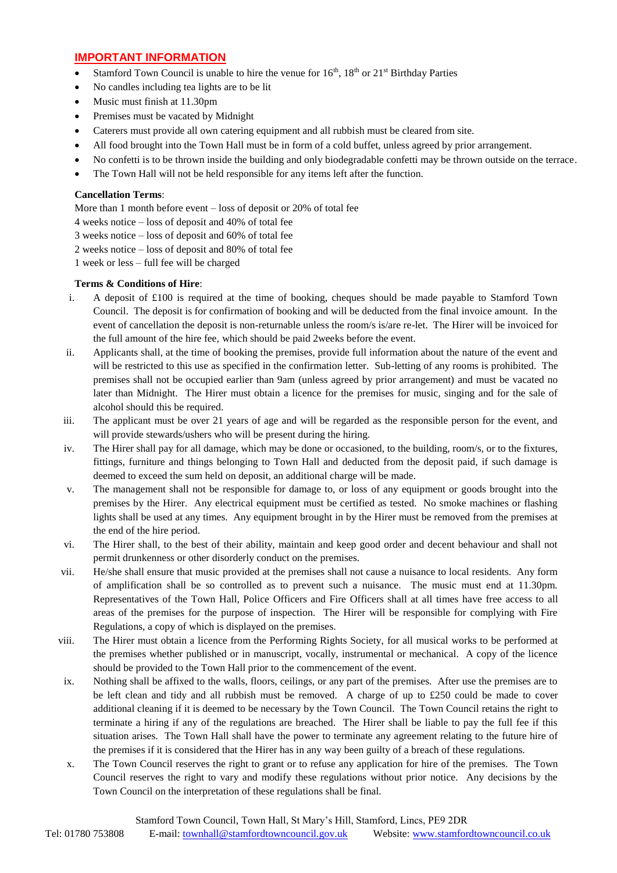## **IMPORTANT INFORMATION**

- Stamford Town Council is unable to hire the venue for  $16<sup>th</sup>$ ,  $18<sup>th</sup>$  or  $21<sup>st</sup>$  Birthday Parties
- No candles including tea lights are to be lit
- Music must finish at 11.30pm
- Premises must be vacated by Midnight
- Caterers must provide all own catering equipment and all rubbish must be cleared from site.
- All food brought into the Town Hall must be in form of a cold buffet, unless agreed by prior arrangement.
- No confetti is to be thrown inside the building and only biodegradable confetti may be thrown outside on the terrace.
- The Town Hall will not be held responsible for any items left after the function.

## **Cancellation Terms**:

More than 1 month before event – loss of deposit or 20% of total fee

4 weeks notice – loss of deposit and 40% of total fee

- 3 weeks notice loss of deposit and 60% of total fee
- 2 weeks notice loss of deposit and 80% of total fee

1 week or less – full fee will be charged

#### **Terms & Conditions of Hire**:

- i. A deposit of £100 is required at the time of booking, cheques should be made payable to Stamford Town Council. The deposit is for confirmation of booking and will be deducted from the final invoice amount. In the event of cancellation the deposit is non-returnable unless the room/s is/are re-let. The Hirer will be invoiced for the full amount of the hire fee, which should be paid 2weeks before the event.
- ii. Applicants shall, at the time of booking the premises, provide full information about the nature of the event and will be restricted to this use as specified in the confirmation letter. Sub-letting of any rooms is prohibited. The premises shall not be occupied earlier than 9am (unless agreed by prior arrangement) and must be vacated no later than Midnight. The Hirer must obtain a licence for the premises for music, singing and for the sale of alcohol should this be required.
- iii. The applicant must be over 21 years of age and will be regarded as the responsible person for the event, and will provide stewards/ushers who will be present during the hiring.
- iv. The Hirer shall pay for all damage, which may be done or occasioned, to the building, room/s, or to the fixtures, fittings, furniture and things belonging to Town Hall and deducted from the deposit paid, if such damage is deemed to exceed the sum held on deposit, an additional charge will be made.
- v. The management shall not be responsible for damage to, or loss of any equipment or goods brought into the premises by the Hirer. Any electrical equipment must be certified as tested. No smoke machines or flashing lights shall be used at any times. Any equipment brought in by the Hirer must be removed from the premises at the end of the hire period.
- vi. The Hirer shall, to the best of their ability, maintain and keep good order and decent behaviour and shall not permit drunkenness or other disorderly conduct on the premises.
- vii. He/she shall ensure that music provided at the premises shall not cause a nuisance to local residents. Any form of amplification shall be so controlled as to prevent such a nuisance. The music must end at 11.30pm. Representatives of the Town Hall, Police Officers and Fire Officers shall at all times have free access to all areas of the premises for the purpose of inspection. The Hirer will be responsible for complying with Fire Regulations, a copy of which is displayed on the premises.
- viii. The Hirer must obtain a licence from the Performing Rights Society, for all musical works to be performed at the premises whether published or in manuscript, vocally, instrumental or mechanical. A copy of the licence should be provided to the Town Hall prior to the commencement of the event.
- ix. Nothing shall be affixed to the walls, floors, ceilings, or any part of the premises. After use the premises are to be left clean and tidy and all rubbish must be removed. A charge of up to £250 could be made to cover additional cleaning if it is deemed to be necessary by the Town Council. The Town Council retains the right to terminate a hiring if any of the regulations are breached. The Hirer shall be liable to pay the full fee if this situation arises. The Town Hall shall have the power to terminate any agreement relating to the future hire of the premises if it is considered that the Hirer has in any way been guilty of a breach of these regulations.
- x. The Town Council reserves the right to grant or to refuse any application for hire of the premises. The Town Council reserves the right to vary and modify these regulations without prior notice. Any decisions by the Town Council on the interpretation of these regulations shall be final.